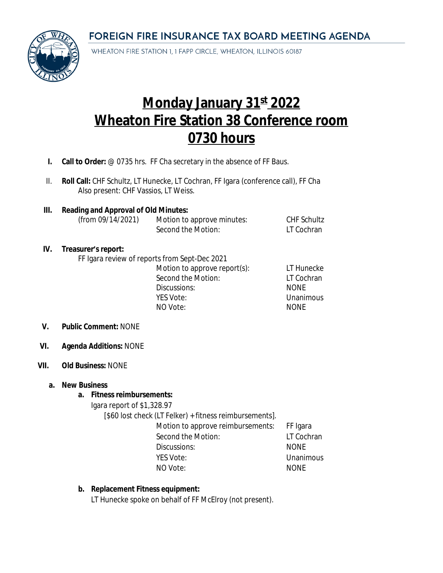FOREIGN FIRE INSURANCE TAX BOARD MEETING AGENDA



WHEATON FIRE STATION 1, 1 FAPP CIRCLE, WHEATON, ILLINOIS 60187

# **Monday January 31st 2022 Wheaton Fire Station 38 Conference room 0730 hours**

- **I. Call to Order:** @ 0735 hrs. FF Cha secretary in the absence of FF Baus.
- II. **Roll Call:** CHF Schultz, LT Hunecke, LT Cochran, FF Igara (conference call), FF Cha Also present: CHF Vassios, LT Weiss.
- **III. Reading and Approval of Old Minutes:** Motion to approve minutes: CHF Schultz Second the Motion: LT Cochran

## **IV. Treasurer's report:**

FF Igara review of reports from Sept-Dec 2021

Motion to approve report(s): LT Hunecke Second the Motion: LT Cochran Discussions: NONE YES Vote: Unanimous NO Vote: NONE

## **V. Public Comment:** NONE

**VI. Agenda Additions:** NONE

#### **VII. Old Business:** NONE

#### **a. New Business**

## **a. Fitness reimbursements:**

Igara report of \$1,328.97

[\$60 lost check (LT Felker) + fitness reimbursements].

- Motion to approve reimbursements: FF Igara Second the Motion: LT Cochran Discussions: NONE YES Vote: Calculation Contract Contract Unanimous NO Vote: NONE
- 

## **b. Replacement Fitness equipment:**

LT Hunecke spoke on behalf of FF McElroy (not present).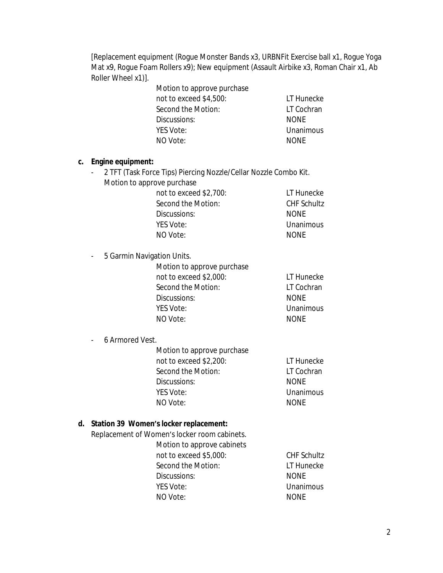[Replacement equipment (Rogue Monster Bands x3, URBNFit Exercise ball x1, Rogue Yoga Mat x9, Roque Foam Rollers x9); New equipment (Assault Airbike x3, Roman Chair x1, Ab Roller Wheel x1)].

| Motion to approve purchase |             |
|----------------------------|-------------|
| not to exceed \$4,500:     | LT Hunecke  |
| Second the Motion:         | LT Cochran  |
| Discussions:               | <b>NONE</b> |
| YES Vote:                  | Unanimous   |
| NO Vote:                   | <b>NONE</b> |
|                            |             |

#### **c. Engine equipment:**

- 2 TFT (Task Force Tips) Piercing Nozzle/Cellar Nozzle Combo Kit. Motion to approve purchase

| not to exceed \$2,700: | LT Hunecke         |
|------------------------|--------------------|
| Second the Motion:     | <b>CHF Schultz</b> |
| Discussions:           | <b>NONE</b>        |
| YES Vote:              | Unanimous          |
| NO Vote:               | <b>NONE</b>        |

- 5 Garmin Navigation Units.

| Motion to approve purchase |             |
|----------------------------|-------------|
| not to exceed \$2,000:     | LT Hunecke  |
| Second the Motion:         | LT Cochran  |
| Discussions:               | <b>NONF</b> |
| YES Vote:                  | Unanimous   |
| NO Vote:                   | <b>NONF</b> |

# - 6 Armored Vest.

| Motion to approve purchase |             |
|----------------------------|-------------|
| not to exceed \$2,200:     | LT Hunecke  |
| Second the Motion:         | LT Cochran  |
| Discussions:               | <b>NONF</b> |
| YES Vote:                  | Unanimous   |
| NO Vote:                   | <b>NONF</b> |

## **d. Station 39 Women's locker replacement:**

Replacement of Women's locker room cabinets.

Motion to approve cabinets not to exceed \$5,000: CHF Schultz Second the Motion: LT Hunecke Discussions: NONE YES Vote: Unanimous NO Vote: NONE